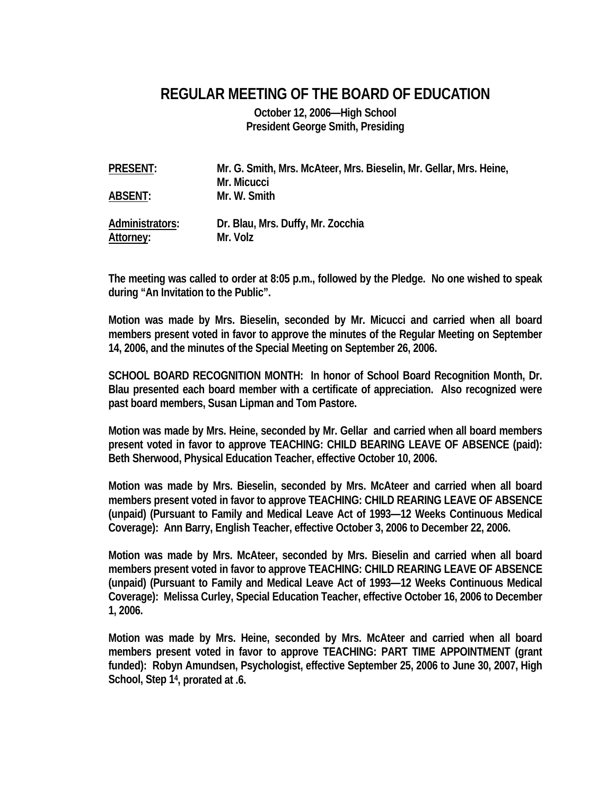## **REGULAR MEETING OF THE BOARD OF EDUCATION**

**October 12, 2006—High School President George Smith, Presiding** 

| <b>PRESENT:</b>              | Mr. G. Smith, Mrs. McAteer, Mrs. Bieselin, Mr. Gellar, Mrs. Heine,<br>Mr. Micucci |
|------------------------------|-----------------------------------------------------------------------------------|
| <b>ABSENT:</b>               | Mr. W. Smith                                                                      |
| Administrators:<br>Attorney: | Dr. Blau, Mrs. Duffy, Mr. Zocchia<br>Mr. Volz                                     |

**The meeting was called to order at 8:05 p.m., followed by the Pledge. No one wished to speak during "An Invitation to the Public".** 

**Motion was made by Mrs. Bieselin, seconded by Mr. Micucci and carried when all board members present voted in favor to approve the minutes of the Regular Meeting on September 14, 2006, and the minutes of the Special Meeting on September 26, 2006.** 

**SCHOOL BOARD RECOGNITION MONTH: In honor of School Board Recognition Month, Dr. Blau presented each board member with a certificate of appreciation. Also recognized were past board members, Susan Lipman and Tom Pastore.** 

**Motion was made by Mrs. Heine, seconded by Mr. Gellar and carried when all board members present voted in favor to approve TEACHING: CHILD BEARING LEAVE OF ABSENCE (paid): Beth Sherwood, Physical Education Teacher, effective October 10, 2006.** 

**Motion was made by Mrs. Bieselin, seconded by Mrs. McAteer and carried when all board members present voted in favor to approve TEACHING: CHILD REARING LEAVE OF ABSENCE (unpaid) (Pursuant to Family and Medical Leave Act of 1993—12 Weeks Continuous Medical Coverage): Ann Barry, English Teacher, effective October 3, 2006 to December 22, 2006.** 

**Motion was made by Mrs. McAteer, seconded by Mrs. Bieselin and carried when all board members present voted in favor to approve TEACHING: CHILD REARING LEAVE OF ABSENCE (unpaid) (Pursuant to Family and Medical Leave Act of 1993—12 Weeks Continuous Medical Coverage): Melissa Curley, Special Education Teacher, effective October 16, 2006 to December 1, 2006.** 

**Motion was made by Mrs. Heine, seconded by Mrs. McAteer and carried when all board members present voted in favor to approve TEACHING: PART TIME APPOINTMENT (grant funded): Robyn Amundsen, Psychologist, effective September 25, 2006 to June 30, 2007, High School, Step 14, prorated at .6.**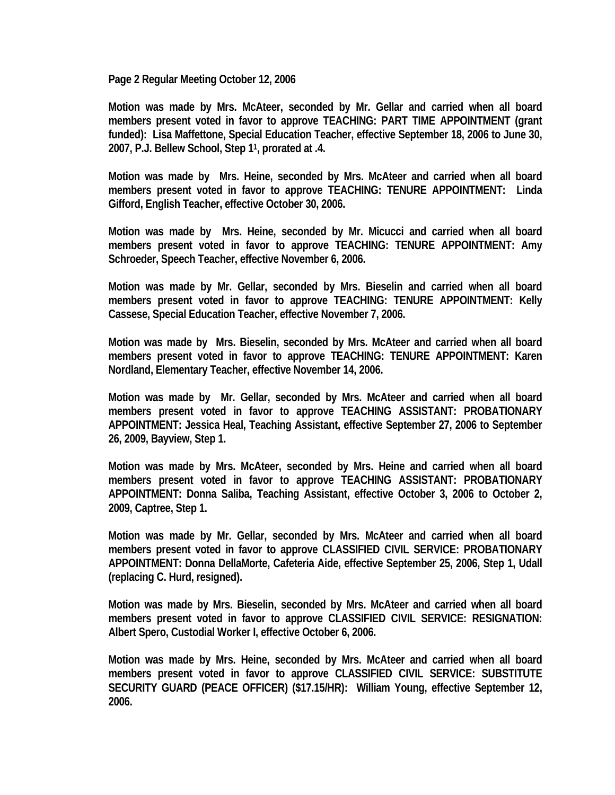**Page 2 Regular Meeting October 12, 2006** 

**Motion was made by Mrs. McAteer, seconded by Mr. Gellar and carried when all board members present voted in favor to approve TEACHING: PART TIME APPOINTMENT (grant funded): Lisa Maffettone, Special Education Teacher, effective September 18, 2006 to June 30, 2007, P.J. Bellew School, Step 11, prorated at .4.** 

**Motion was made by Mrs. Heine, seconded by Mrs. McAteer and carried when all board members present voted in favor to approve TEACHING: TENURE APPOINTMENT: Linda Gifford, English Teacher, effective October 30, 2006.** 

**Motion was made by Mrs. Heine, seconded by Mr. Micucci and carried when all board members present voted in favor to approve TEACHING: TENURE APPOINTMENT: Amy Schroeder, Speech Teacher, effective November 6, 2006.** 

**Motion was made by Mr. Gellar, seconded by Mrs. Bieselin and carried when all board members present voted in favor to approve TEACHING: TENURE APPOINTMENT: Kelly Cassese, Special Education Teacher, effective November 7, 2006.** 

**Motion was made by Mrs. Bieselin, seconded by Mrs. McAteer and carried when all board members present voted in favor to approve TEACHING: TENURE APPOINTMENT: Karen Nordland, Elementary Teacher, effective November 14, 2006.** 

**Motion was made by Mr. Gellar, seconded by Mrs. McAteer and carried when all board members present voted in favor to approve TEACHING ASSISTANT: PROBATIONARY APPOINTMENT: Jessica Heal, Teaching Assistant, effective September 27, 2006 to September 26, 2009, Bayview, Step 1.** 

**Motion was made by Mrs. McAteer, seconded by Mrs. Heine and carried when all board members present voted in favor to approve TEACHING ASSISTANT: PROBATIONARY APPOINTMENT: Donna Saliba, Teaching Assistant, effective October 3, 2006 to October 2, 2009, Captree, Step 1.** 

**Motion was made by Mr. Gellar, seconded by Mrs. McAteer and carried when all board members present voted in favor to approve CLASSIFIED CIVIL SERVICE: PROBATIONARY APPOINTMENT: Donna DellaMorte, Cafeteria Aide, effective September 25, 2006, Step 1, Udall (replacing C. Hurd, resigned).** 

**Motion was made by Mrs. Bieselin, seconded by Mrs. McAteer and carried when all board members present voted in favor to approve CLASSIFIED CIVIL SERVICE: RESIGNATION: Albert Spero, Custodial Worker I, effective October 6, 2006.** 

**Motion was made by Mrs. Heine, seconded by Mrs. McAteer and carried when all board members present voted in favor to approve CLASSIFIED CIVIL SERVICE: SUBSTITUTE SECURITY GUARD (PEACE OFFICER) (\$17.15/HR): William Young, effective September 12, 2006.**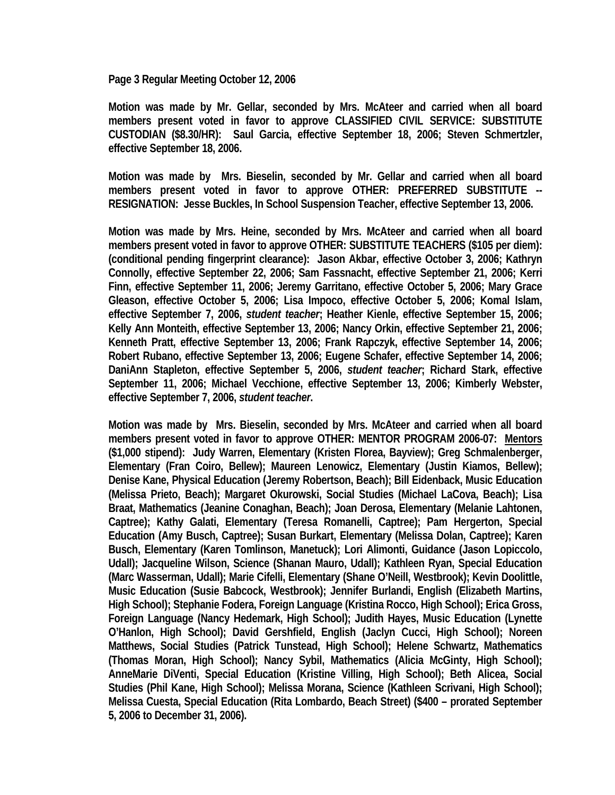**Page 3 Regular Meeting October 12, 2006** 

**Motion was made by Mr. Gellar, seconded by Mrs. McAteer and carried when all board members present voted in favor to approve CLASSIFIED CIVIL SERVICE: SUBSTITUTE CUSTODIAN (\$8.30/HR): Saul Garcia, effective September 18, 2006; Steven Schmertzler, effective September 18, 2006.** 

**Motion was made by Mrs. Bieselin, seconded by Mr. Gellar and carried when all board members present voted in favor to approve OTHER: PREFERRED SUBSTITUTE -- RESIGNATION: Jesse Buckles, In School Suspension Teacher, effective September 13, 2006.** 

**Motion was made by Mrs. Heine, seconded by Mrs. McAteer and carried when all board members present voted in favor to approve OTHER: SUBSTITUTE TEACHERS (\$105 per diem): (conditional pending fingerprint clearance): Jason Akbar, effective October 3, 2006; Kathryn Connolly, effective September 22, 2006; Sam Fassnacht, effective September 21, 2006; Kerri Finn, effective September 11, 2006; Jeremy Garritano, effective October 5, 2006; Mary Grace Gleason, effective October 5, 2006; Lisa Impoco, effective October 5, 2006; Komal Islam, effective September 7, 2006,** *student teacher***; Heather Kienle, effective September 15, 2006; Kelly Ann Monteith, effective September 13, 2006; Nancy Orkin, effective September 21, 2006; Kenneth Pratt, effective September 13, 2006; Frank Rapczyk, effective September 14, 2006; Robert Rubano, effective September 13, 2006; Eugene Schafer, effective September 14, 2006; DaniAnn Stapleton, effective September 5, 2006,** *student teacher***; Richard Stark, effective September 11, 2006; Michael Vecchione, effective September 13, 2006; Kimberly Webster, effective September 7, 2006,** *student teacher***.** 

**Motion was made by Mrs. Bieselin, seconded by Mrs. McAteer and carried when all board members present voted in favor to approve OTHER: MENTOR PROGRAM 2006-07: Mentors (\$1,000 stipend): Judy Warren, Elementary (Kristen Florea, Bayview); Greg Schmalenberger, Elementary (Fran Coiro, Bellew); Maureen Lenowicz, Elementary (Justin Kiamos, Bellew); Denise Kane, Physical Education (Jeremy Robertson, Beach); Bill Eidenback, Music Education (Melissa Prieto, Beach); Margaret Okurowski, Social Studies (Michael LaCova, Beach); Lisa Braat, Mathematics (Jeanine Conaghan, Beach); Joan Derosa, Elementary (Melanie Lahtonen, Captree); Kathy Galati, Elementary (Teresa Romanelli, Captree); Pam Hergerton, Special Education (Amy Busch, Captree); Susan Burkart, Elementary (Melissa Dolan, Captree); Karen Busch, Elementary (Karen Tomlinson, Manetuck); Lori Alimonti, Guidance (Jason Lopiccolo, Udall); Jacqueline Wilson, Science (Shanan Mauro, Udall); Kathleen Ryan, Special Education (Marc Wasserman, Udall); Marie Cifelli, Elementary (Shane O'Neill, Westbrook); Kevin Doolittle, Music Education (Susie Babcock, Westbrook); Jennifer Burlandi, English (Elizabeth Martins, High School); Stephanie Fodera, Foreign Language (Kristina Rocco, High School); Erica Gross, Foreign Language (Nancy Hedemark, High School); Judith Hayes, Music Education (Lynette O'Hanlon, High School); David Gershfield, English (Jaclyn Cucci, High School); Noreen Matthews, Social Studies (Patrick Tunstead, High School); Helene Schwartz, Mathematics (Thomas Moran, High School); Nancy Sybil, Mathematics (Alicia McGinty, High School); AnneMarie DiVenti, Special Education (Kristine Villing, High School); Beth Alicea, Social Studies (Phil Kane, High School); Melissa Morana, Science (Kathleen Scrivani, High School); Melissa Cuesta, Special Education (Rita Lombardo, Beach Street) (\$400 – prorated September 5, 2006 to December 31, 2006).**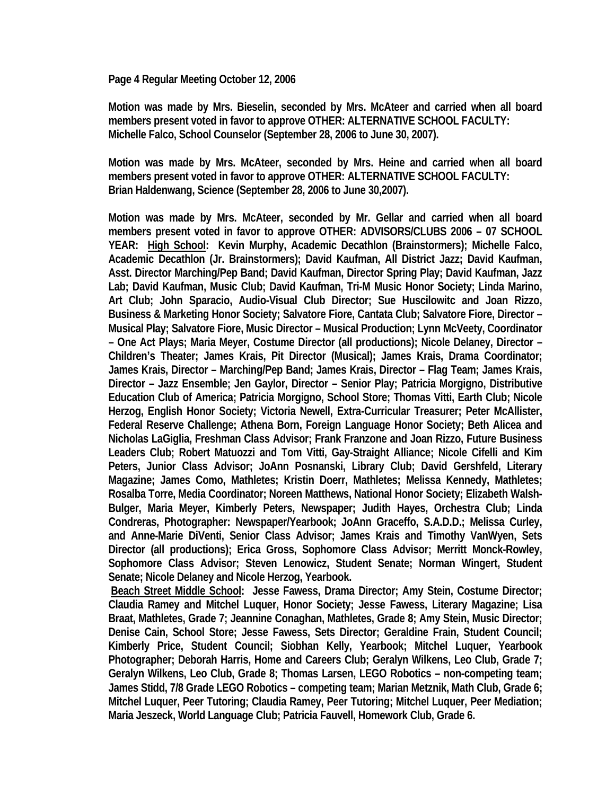**Page 4 Regular Meeting October 12, 2006** 

**Motion was made by Mrs. Bieselin, seconded by Mrs. McAteer and carried when all board members present voted in favor to approve OTHER: ALTERNATIVE SCHOOL FACULTY: Michelle Falco, School Counselor (September 28, 2006 to June 30, 2007).** 

**Motion was made by Mrs. McAteer, seconded by Mrs. Heine and carried when all board members present voted in favor to approve OTHER: ALTERNATIVE SCHOOL FACULTY: Brian Haldenwang, Science (September 28, 2006 to June 30,2007).** 

**Motion was made by Mrs. McAteer, seconded by Mr. Gellar and carried when all board members present voted in favor to approve OTHER: ADVISORS/CLUBS 2006 – 07 SCHOOL YEAR: High School: Kevin Murphy, Academic Decathlon (Brainstormers); Michelle Falco, Academic Decathlon (Jr. Brainstormers); David Kaufman, All District Jazz; David Kaufman, Asst. Director Marching/Pep Band; David Kaufman, Director Spring Play; David Kaufman, Jazz Lab; David Kaufman, Music Club; David Kaufman, Tri-M Music Honor Society; Linda Marino, Art Club; John Sparacio, Audio-Visual Club Director; Sue Huscilowitc and Joan Rizzo, Business & Marketing Honor Society; Salvatore Fiore, Cantata Club; Salvatore Fiore, Director – Musical Play; Salvatore Fiore, Music Director – Musical Production; Lynn McVeety, Coordinator – One Act Plays; Maria Meyer, Costume Director (all productions); Nicole Delaney, Director – Children's Theater; James Krais, Pit Director (Musical); James Krais, Drama Coordinator; James Krais, Director – Marching/Pep Band; James Krais, Director – Flag Team; James Krais, Director – Jazz Ensemble; Jen Gaylor, Director – Senior Play; Patricia Morgigno, Distributive Education Club of America; Patricia Morgigno, School Store; Thomas Vitti, Earth Club; Nicole Herzog, English Honor Society; Victoria Newell, Extra-Curricular Treasurer; Peter McAllister, Federal Reserve Challenge; Athena Born, Foreign Language Honor Society; Beth Alicea and Nicholas LaGiglia, Freshman Class Advisor; Frank Franzone and Joan Rizzo, Future Business Leaders Club; Robert Matuozzi and Tom Vitti, Gay-Straight Alliance; Nicole Cifelli and Kim Peters, Junior Class Advisor; JoAnn Posnanski, Library Club; David Gershfeld, Literary Magazine; James Como, Mathletes; Kristin Doerr, Mathletes; Melissa Kennedy, Mathletes; Rosalba Torre, Media Coordinator; Noreen Matthews, National Honor Society; Elizabeth Walsh-Bulger, Maria Meyer, Kimberly Peters, Newspaper; Judith Hayes, Orchestra Club; Linda Condreras, Photographer: Newspaper/Yearbook; JoAnn Graceffo, S.A.D.D.; Melissa Curley, and Anne-Marie DiVenti, Senior Class Advisor; James Krais and Timothy VanWyen, Sets Director (all productions); Erica Gross, Sophomore Class Advisor; Merritt Monck-Rowley, Sophomore Class Advisor; Steven Lenowicz, Student Senate; Norman Wingert, Student Senate; Nicole Delaney and Nicole Herzog, Yearbook.** 

 **Beach Street Middle School: Jesse Fawess, Drama Director; Amy Stein, Costume Director; Claudia Ramey and Mitchel Luquer, Honor Society; Jesse Fawess, Literary Magazine; Lisa Braat, Mathletes, Grade 7; Jeannine Conaghan, Mathletes, Grade 8; Amy Stein, Music Director; Denise Cain, School Store; Jesse Fawess, Sets Director; Geraldine Frain, Student Council; Kimberly Price, Student Council; Siobhan Kelly, Yearbook; Mitchel Luquer, Yearbook Photographer; Deborah Harris, Home and Careers Club; Geralyn Wilkens, Leo Club, Grade 7; Geralyn Wilkens, Leo Club, Grade 8; Thomas Larsen, LEGO Robotics – non-competing team; James Stidd, 7/8 Grade LEGO Robotics – competing team; Marian Metznik, Math Club, Grade 6; Mitchel Luquer, Peer Tutoring; Claudia Ramey, Peer Tutoring; Mitchel Luquer, Peer Mediation; Maria Jeszeck, World Language Club; Patricia Fauvell, Homework Club, Grade 6.**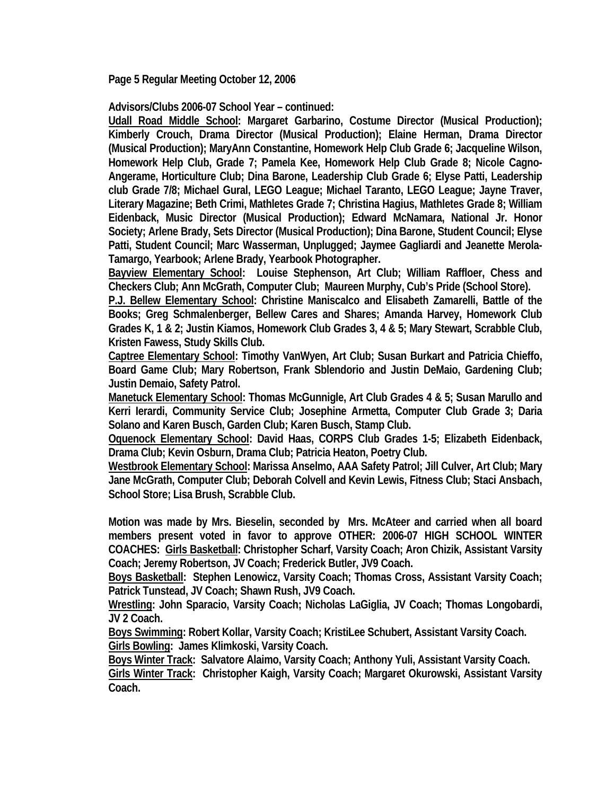**Page 5 Regular Meeting October 12, 2006** 

**Advisors/Clubs 2006-07 School Year – continued:** 

**Udall Road Middle School: Margaret Garbarino, Costume Director (Musical Production); Kimberly Crouch, Drama Director (Musical Production); Elaine Herman, Drama Director (Musical Production); MaryAnn Constantine, Homework Help Club Grade 6; Jacqueline Wilson, Homework Help Club, Grade 7; Pamela Kee, Homework Help Club Grade 8; Nicole Cagno-Angerame, Horticulture Club; Dina Barone, Leadership Club Grade 6; Elyse Patti, Leadership club Grade 7/8; Michael Gural, LEGO League; Michael Taranto, LEGO League; Jayne Traver, Literary Magazine; Beth Crimi, Mathletes Grade 7; Christina Hagius, Mathletes Grade 8; William Eidenback, Music Director (Musical Production); Edward McNamara, National Jr. Honor Society; Arlene Brady, Sets Director (Musical Production); Dina Barone, Student Council; Elyse Patti, Student Council; Marc Wasserman, Unplugged; Jaymee Gagliardi and Jeanette Merola-Tamargo, Yearbook; Arlene Brady, Yearbook Photographer.** 

**Bayview Elementary School: Louise Stephenson, Art Club; William Raffloer, Chess and Checkers Club; Ann McGrath, Computer Club; Maureen Murphy, Cub's Pride (School Store).** 

**P.J. Bellew Elementary School: Christine Maniscalco and Elisabeth Zamarelli, Battle of the Books; Greg Schmalenberger, Bellew Cares and Shares; Amanda Harvey, Homework Club Grades K, 1 & 2; Justin Kiamos, Homework Club Grades 3, 4 & 5; Mary Stewart, Scrabble Club, Kristen Fawess, Study Skills Club.** 

**Captree Elementary School: Timothy VanWyen, Art Club; Susan Burkart and Patricia Chieffo, Board Game Club; Mary Robertson, Frank Sblendorio and Justin DeMaio, Gardening Club; Justin Demaio, Safety Patrol.** 

**Manetuck Elementary School: Thomas McGunnigle, Art Club Grades 4 & 5; Susan Marullo and Kerri Ierardi, Community Service Club; Josephine Armetta, Computer Club Grade 3; Daria Solano and Karen Busch, Garden Club; Karen Busch, Stamp Club.** 

**Oquenock Elementary School: David Haas, CORPS Club Grades 1-5; Elizabeth Eidenback, Drama Club; Kevin Osburn, Drama Club; Patricia Heaton, Poetry Club.** 

**Westbrook Elementary School: Marissa Anselmo, AAA Safety Patrol; Jill Culver, Art Club; Mary Jane McGrath, Computer Club; Deborah Colvell and Kevin Lewis, Fitness Club; Staci Ansbach, School Store; Lisa Brush, Scrabble Club.** 

**Motion was made by Mrs. Bieselin, seconded by Mrs. McAteer and carried when all board members present voted in favor to approve OTHER: 2006-07 HIGH SCHOOL WINTER COACHES: Girls Basketball: Christopher Scharf, Varsity Coach; Aron Chizik, Assistant Varsity Coach; Jeremy Robertson, JV Coach; Frederick Butler, JV9 Coach.** 

**Boys Basketball: Stephen Lenowicz, Varsity Coach; Thomas Cross, Assistant Varsity Coach; Patrick Tunstead, JV Coach; Shawn Rush, JV9 Coach.** 

**Wrestling: John Sparacio, Varsity Coach; Nicholas LaGiglia, JV Coach; Thomas Longobardi, JV 2 Coach.** 

**Boys Swimming: Robert Kollar, Varsity Coach; KristiLee Schubert, Assistant Varsity Coach. Girls Bowling: James Klimkoski, Varsity Coach.** 

**Boys Winter Track: Salvatore Alaimo, Varsity Coach; Anthony Yuli, Assistant Varsity Coach. Girls Winter Track: Christopher Kaigh, Varsity Coach; Margaret Okurowski, Assistant Varsity Coach.**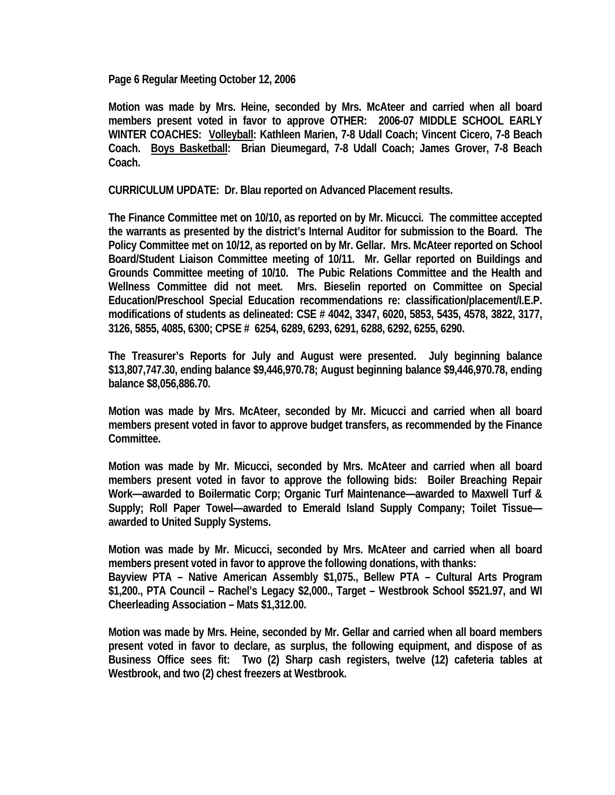**Page 6 Regular Meeting October 12, 2006** 

**Motion was made by Mrs. Heine, seconded by Mrs. McAteer and carried when all board members present voted in favor to approve OTHER: 2006-07 MIDDLE SCHOOL EARLY WINTER COACHES: Volleyball: Kathleen Marien, 7-8 Udall Coach; Vincent Cicero, 7-8 Beach Coach. Boys Basketball: Brian Dieumegard, 7-8 Udall Coach; James Grover, 7-8 Beach Coach.** 

**CURRICULUM UPDATE: Dr. Blau reported on Advanced Placement results.** 

**The Finance Committee met on 10/10, as reported on by Mr. Micucci. The committee accepted the warrants as presented by the district's Internal Auditor for submission to the Board. The Policy Committee met on 10/12, as reported on by Mr. Gellar. Mrs. McAteer reported on School Board/Student Liaison Committee meeting of 10/11. Mr. Gellar reported on Buildings and Grounds Committee meeting of 10/10. The Pubic Relations Committee and the Health and Wellness Committee did not meet. Mrs. Bieselin reported on Committee on Special Education/Preschool Special Education recommendations re: classification/placement/I.E.P. modifications of students as delineated: CSE # 4042, 3347, 6020, 5853, 5435, 4578, 3822, 3177, 3126, 5855, 4085, 6300; CPSE # 6254, 6289, 6293, 6291, 6288, 6292, 6255, 6290.** 

**The Treasurer's Reports for July and August were presented. July beginning balance \$13,807,747.30, ending balance \$9,446,970.78; August beginning balance \$9,446,970.78, ending balance \$8,056,886.70.** 

**Motion was made by Mrs. McAteer, seconded by Mr. Micucci and carried when all board members present voted in favor to approve budget transfers, as recommended by the Finance Committee.** 

**Motion was made by Mr. Micucci, seconded by Mrs. McAteer and carried when all board members present voted in favor to approve the following bids: Boiler Breaching Repair Work—awarded to Boilermatic Corp; Organic Turf Maintenance—awarded to Maxwell Turf & Supply; Roll Paper Towel—awarded to Emerald Island Supply Company; Toilet Tissue awarded to United Supply Systems.** 

**Motion was made by Mr. Micucci, seconded by Mrs. McAteer and carried when all board members present voted in favor to approve the following donations, with thanks: Bayview PTA – Native American Assembly \$1,075., Bellew PTA – Cultural Arts Program \$1,200., PTA Council – Rachel's Legacy \$2,000., Target – Westbrook School \$521.97, and WI Cheerleading Association – Mats \$1,312.00.** 

**Motion was made by Mrs. Heine, seconded by Mr. Gellar and carried when all board members present voted in favor to declare, as surplus, the following equipment, and dispose of as Business Office sees fit: Two (2) Sharp cash registers, twelve (12) cafeteria tables at Westbrook, and two (2) chest freezers at Westbrook.**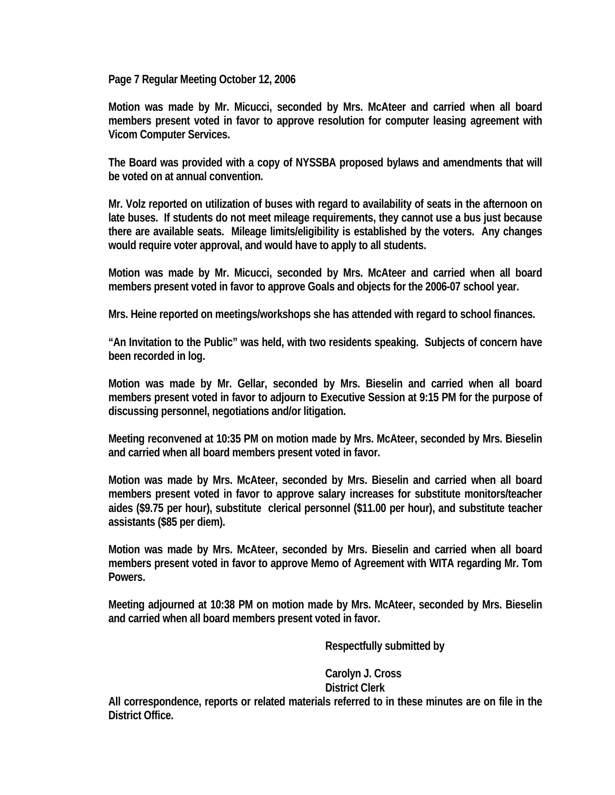**Page 7 Regular Meeting October 12, 2006** 

**Motion was made by Mr. Micucci, seconded by Mrs. McAteer and carried when all board members present voted in favor to approve resolution for computer leasing agreement with Vicom Computer Services.** 

**The Board was provided with a copy of NYSSBA proposed bylaws and amendments that will be voted on at annual convention.** 

**Mr. Volz reported on utilization of buses with regard to availability of seats in the afternoon on late buses. If students do not meet mileage requirements, they cannot use a bus just because there are available seats. Mileage limits/eligibility is established by the voters. Any changes would require voter approval, and would have to apply to all students.** 

**Motion was made by Mr. Micucci, seconded by Mrs. McAteer and carried when all board members present voted in favor to approve Goals and objects for the 2006-07 school year.** 

**Mrs. Heine reported on meetings/workshops she has attended with regard to school finances.** 

**"An Invitation to the Public" was held, with two residents speaking. Subjects of concern have been recorded in log.** 

**Motion was made by Mr. Gellar, seconded by Mrs. Bieselin and carried when all board members present voted in favor to adjourn to Executive Session at 9:15 PM for the purpose of discussing personnel, negotiations and/or litigation.** 

**Meeting reconvened at 10:35 PM on motion made by Mrs. McAteer, seconded by Mrs. Bieselin and carried when all board members present voted in favor.** 

**Motion was made by Mrs. McAteer, seconded by Mrs. Bieselin and carried when all board members present voted in favor to approve salary increases for substitute monitors/teacher aides (\$9.75 per hour), substitute clerical personnel (\$11.00 per hour), and substitute teacher assistants (\$85 per diem).** 

**Motion was made by Mrs. McAteer, seconded by Mrs. Bieselin and carried when all board members present voted in favor to approve Memo of Agreement with WITA regarding Mr. Tom Powers.** 

**Meeting adjourned at 10:38 PM on motion made by Mrs. McAteer, seconded by Mrs. Bieselin and carried when all board members present voted in favor.** 

 **Respectfully submitted by** 

 **Carolyn J. Cross District Clerk** 

**All correspondence, reports or related materials referred to in these minutes are on file in the District Office.**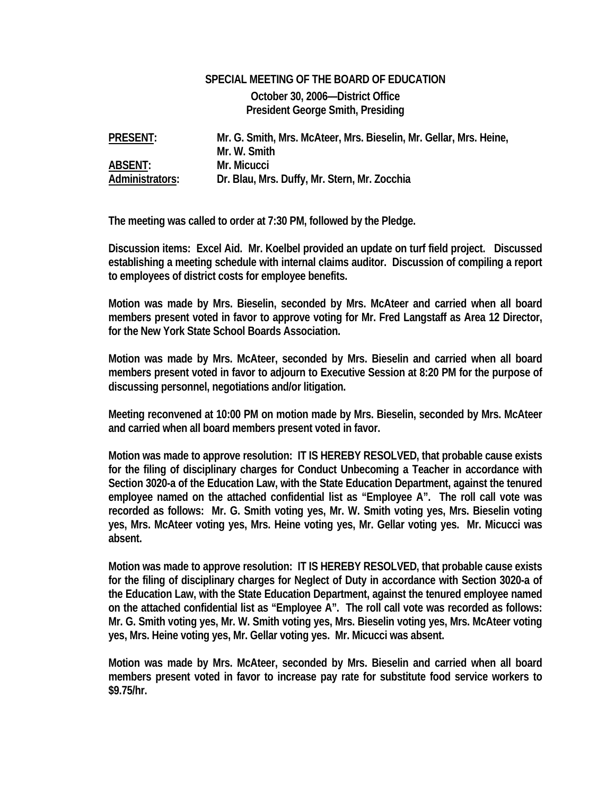## **SPECIAL MEETING OF THE BOARD OF EDUCATION October 30, 2006—District Office President George Smith, Presiding**

**PRESENT: Mr. G. Smith, Mrs. McAteer, Mrs. Bieselin, Mr. Gellar, Mrs. Heine, Mr. W. Smith ABSENT: Mr. Micucci Administrators: Dr. Blau, Mrs. Duffy, Mr. Stern, Mr. Zocchia** 

**The meeting was called to order at 7:30 PM, followed by the Pledge.** 

**Discussion items: Excel Aid. Mr. Koelbel provided an update on turf field project. Discussed establishing a meeting schedule with internal claims auditor. Discussion of compiling a report to employees of district costs for employee benefits.** 

**Motion was made by Mrs. Bieselin, seconded by Mrs. McAteer and carried when all board members present voted in favor to approve voting for Mr. Fred Langstaff as Area 12 Director, for the New York State School Boards Association.** 

**Motion was made by Mrs. McAteer, seconded by Mrs. Bieselin and carried when all board members present voted in favor to adjourn to Executive Session at 8:20 PM for the purpose of discussing personnel, negotiations and/or litigation.** 

**Meeting reconvened at 10:00 PM on motion made by Mrs. Bieselin, seconded by Mrs. McAteer and carried when all board members present voted in favor.** 

**Motion was made to approve resolution: IT IS HEREBY RESOLVED, that probable cause exists for the filing of disciplinary charges for Conduct Unbecoming a Teacher in accordance with Section 3020-a of the Education Law, with the State Education Department, against the tenured employee named on the attached confidential list as "Employee A". The roll call vote was recorded as follows: Mr. G. Smith voting yes, Mr. W. Smith voting yes, Mrs. Bieselin voting yes, Mrs. McAteer voting yes, Mrs. Heine voting yes, Mr. Gellar voting yes. Mr. Micucci was absent.** 

**Motion was made to approve resolution: IT IS HEREBY RESOLVED, that probable cause exists for the filing of disciplinary charges for Neglect of Duty in accordance with Section 3020-a of the Education Law, with the State Education Department, against the tenured employee named on the attached confidential list as "Employee A". The roll call vote was recorded as follows: Mr. G. Smith voting yes, Mr. W. Smith voting yes, Mrs. Bieselin voting yes, Mrs. McAteer voting yes, Mrs. Heine voting yes, Mr. Gellar voting yes. Mr. Micucci was absent.** 

**Motion was made by Mrs. McAteer, seconded by Mrs. Bieselin and carried when all board members present voted in favor to increase pay rate for substitute food service workers to \$9.75/hr.**